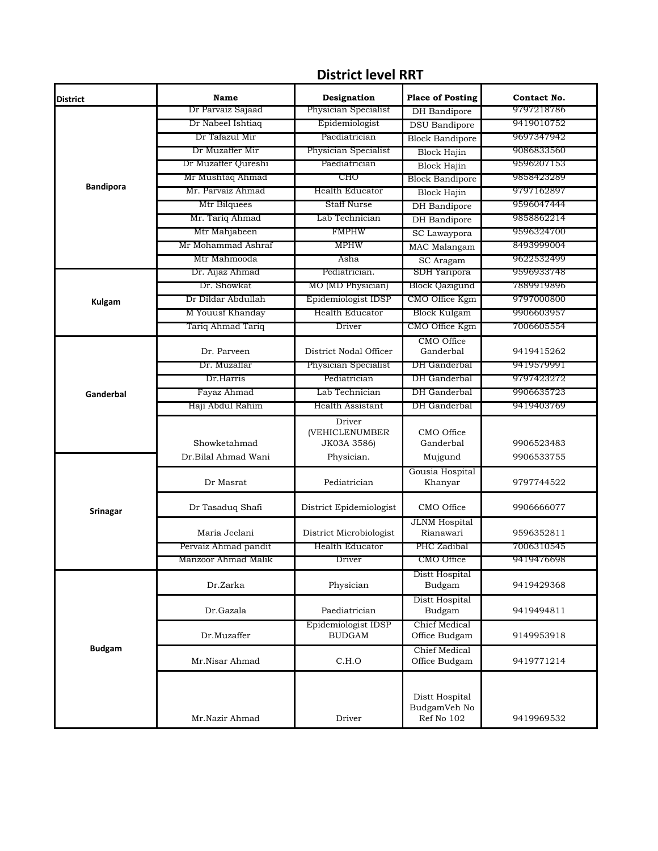| <b>District</b>  | Name                            | Designation              | <b>Place of Posting</b>                      | Contact No. |
|------------------|---------------------------------|--------------------------|----------------------------------------------|-------------|
|                  | Dr Parvaiz Sajaad               | Physician Specialist     | DH Bandipore                                 | 9797218786  |
|                  | Dr Nabeel Ishtiaq               | Epidemiologist           | <b>DSU</b> Bandipore                         | 9419010752  |
|                  | Dr Tafazul Mir                  | Paediatrician            | <b>Block Bandipore</b>                       | 9697347942  |
|                  | Dr Muzaffer Mir                 | Physician Specialist     | <b>Block Hajin</b>                           | 9086833560  |
| <b>Bandipora</b> | Dr Muzaffer Qureshi             | Paediatrician            | <b>Block Hajin</b>                           | 9596207153  |
|                  | Mr Mushtaq Ahmad                | CHO                      | <b>Block Bandipore</b>                       | 9858423289  |
|                  | Mr. Parvaiz Ahmad               | <b>Health Educator</b>   | <b>Block Hajin</b>                           | 9797162897  |
|                  | Mtr Bilquees                    | <b>Staff Nurse</b>       | <b>DH</b> Bandipore                          | 9596047444  |
|                  | Mr. Tariq Ahmad                 | Lab Technician           | <b>DH</b> Bandipore                          | 9858862214  |
|                  | Mtr Mahjabeen                   | <b>FMPHW</b>             | SC Lawaypora                                 | 9596324700  |
|                  | Mr Mohammad Ashraf              | <b>MPHW</b>              | <b>MAC</b> Malangam                          | 8493999004  |
|                  | Mtr Mahmooda                    | Asha                     | SC Aragam                                    | 9622532499  |
|                  | Dr. Aijaz Ahmad                 | Pediatrician.            | SDH Yaripora                                 | 9596933748  |
|                  | Dr. Showkat                     | MO (MD Physician)        | <b>Block Qazigund</b>                        | 7889919896  |
| <b>Kulgam</b>    | Dr Dildar Abdullah              | Epidemiologist IDSP      | CMO Office Kgm                               | 9797000800  |
|                  | M Youust Khanday                | <b>Health Educator</b>   | Block Kulgam                                 | 9906603957  |
|                  | Tariq Ahmad Tariq               | Driver                   | CMO Office Kgm                               | 7006605554  |
|                  | Dr. Parveen                     | District Nodal Officer   | CMO Office<br>Ganderbal                      | 9419415262  |
|                  | Dr. Muzaffar                    | Physician Specialist     | DH Ganderbal                                 | 9419579991  |
|                  | Dr.Harris                       | Pediatrician             | DH Ganderbal                                 | 9797423272  |
| Ganderbal        |                                 | Lab Technician           | DH Ganderbal                                 | 9906635723  |
|                  | Fayaz Ahmad<br>Haji Abdul Rahim | <b>Health Assistant</b>  | DH Ganderbal                                 | 9419403769  |
|                  |                                 |                          |                                              |             |
|                  |                                 | Driver<br>(VEHICLENUMBER | CMO Office                                   |             |
|                  | Showketahmad                    | JK03A 3586)              | Ganderbal                                    | 9906523483  |
|                  | Dr.Bilal Ahmad Wani             | Physician.               | Mujgund                                      | 9906533755  |
|                  |                                 |                          | Gousia Hospital                              |             |
|                  | Dr Masrat                       | Pediatrician             | Khanyar                                      | 9797744522  |
| <b>Srinagar</b>  | Dr Tasaduq Shafi                | District Epidemiologist  | CMO Office                                   | 9906666077  |
|                  | Maria Jeelani                   | District Microbiologist  | <b>JLNM</b> Hospital<br>Rianawari            | 9596352811  |
|                  | Pervaiz Ahmad pandit            | Health Educator          | PHC Zadibal                                  | 7006310545  |
|                  | Manzoor Ahmad Malik             | Driver                   | CMO Office                                   | 9419476698  |
|                  | Dr.Zarka                        | Physician                | Distt Hospital<br>Budgam                     | 9419429368  |
|                  | Dr.Gazala                       | Paediatrician            | Distt Hospital<br>Budgam                     | 9419494811  |
|                  |                                 | Epidemiologist IDSP      | Chief Medical                                |             |
| <b>Budgam</b>    | Dr.Muzaffer                     | <b>BUDGAM</b>            | Office Budgam                                | 9149953918  |
|                  | Mr.Nisar Ahmad                  | C.H.O                    | Chief Medical<br>Office Budgam               | 9419771214  |
|                  | Mr.Nazir Ahmad                  | Driver                   | Distt Hospital<br>BudgamVeh No<br>Ref No 102 | 9419969532  |

## **District level RRT**